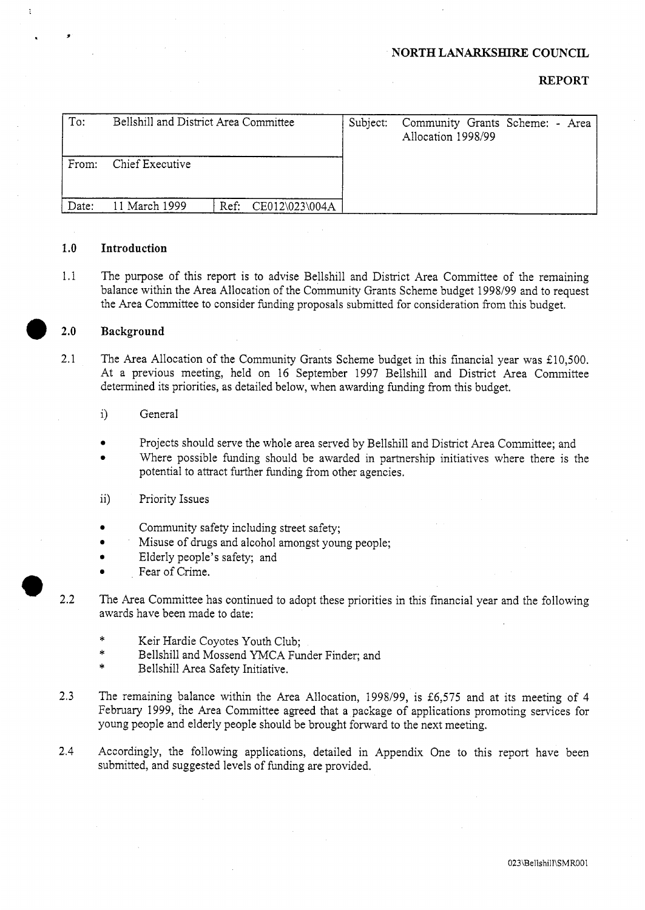#### **NORTH** LANARKSHJRE **COUNCIL**

## **REPORT**

| To:   | Bellshill and District Area Committee |                     | Subject: | Community Grants Scheme: - Area<br>Allocation 1998/99 |  |
|-------|---------------------------------------|---------------------|----------|-------------------------------------------------------|--|
| From: | Chief Executive                       |                     |          |                                                       |  |
| Date: | 11 March 1999                         | Ref: CE012\023\004A |          |                                                       |  |

#### **1.0 Introduction**

1.1 The purpose of this report is to advise Bellshill and District Area Committee of the remaining balance within the Area Allocation of the Community Grants Scheme budget 1998/99 and to request the Area Committee to consider funding proposals submitted for consideration from this budget.

# $\bullet$  2.0 **Background**

- 2.1 The Area Allocation of the Community Grants Scheme budget in this financial year was £10,500. At a previous meeting, held on 16 September 1997 Bellshill and District Area Committee determined its priorities, as detailed below, when awarding funding from this budget.
	- i) General
	- **e**  Projects should serve the whole area served by Bellshill and District Area Committee; and
	- **e**  Where possible funding should be awarded in partnership initiatives where there is the potential to attract further funding from other agencies.
	- ii) Priority Issues
	- Community safety including street safety;
	- **e** Misuse of drugs and alcohol amongst young people;
	- Elderly people's safety; and
	- Fear of Crime.
- $\bullet$  2.2 The Area Committee has continued to adopt these priorities in this financial year and the following awards have been made to date:
	- \* Keir Hardie Coyotes Youth Club;
	- \* Bellshill and Mossend YMCA Funder Finder; and
	- Bellshill Area Safety Initiative.
	- 2.3 The remaining balance within the Area Allocation, 1998/99, is *26,575* and at its meeting of 4 February 1999, the Area Committee agreed that a package of applications promoting services for young people and elderly people should be brought forward to the next meeting.
	- 2.4 Accordingly, the following applications, detailed in Appendix One to this report have been submitted, and suggested levels of funding are provided.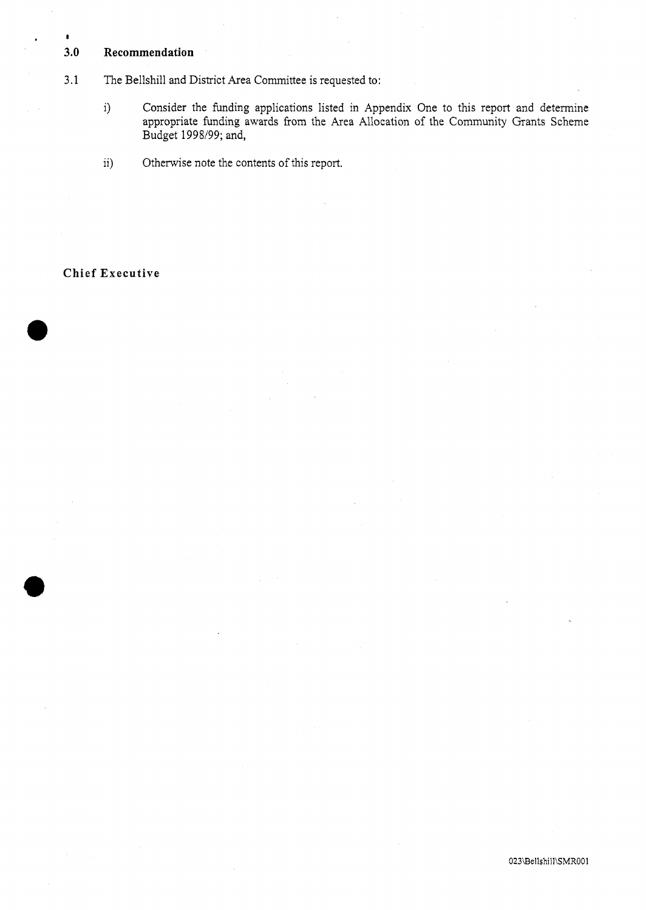## **3.0 Recommendation**

**J** 

#### 3.1 The Bellshill and District Area Committee is requested to:

- i) Consider the funding applications listed in Appendix One to this report and determine appropriate funding awards from the Area Allocation of the Community Grants Scheme Budget 1998199; and,
- ii) Otherwise note the contents of this report.

# **Chief Executive**